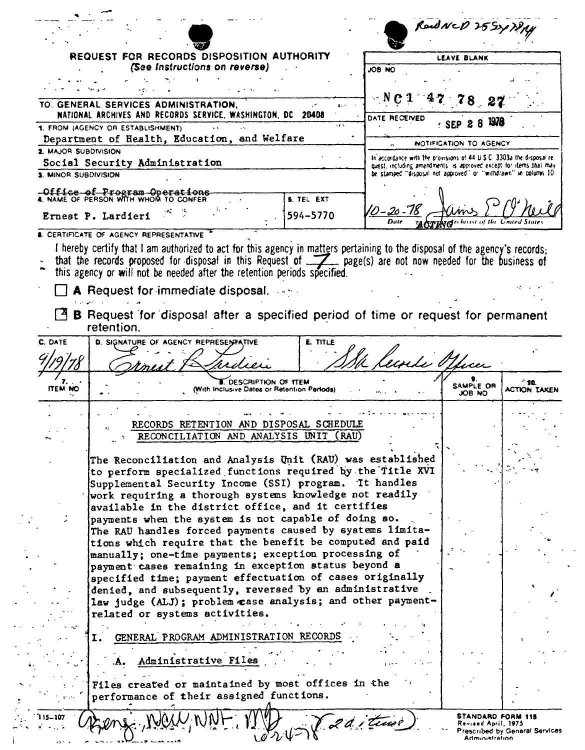|                      |                                                                                                                                                                                                                                                                                                     |                                                                                                                                            | RadNeD 25SYTRAY        |                       |
|----------------------|-----------------------------------------------------------------------------------------------------------------------------------------------------------------------------------------------------------------------------------------------------------------------------------------------------|--------------------------------------------------------------------------------------------------------------------------------------------|------------------------|-----------------------|
|                      | REQUEST FOR RECORDS DISPOSITION AUTHORITY<br>(See Instructions on reverse)                                                                                                                                                                                                                          | ON 80L                                                                                                                                     | LEAVE BLANK            |                       |
|                      |                                                                                                                                                                                                                                                                                                     |                                                                                                                                            |                        |                       |
|                      |                                                                                                                                                                                                                                                                                                     |                                                                                                                                            |                        |                       |
|                      | TO. GENERAL SERVICES ADMINISTRATION.<br>NATIONAL ARCHIVES AND RECORDS SERVICE, WASHINGTON, DC 20408                                                                                                                                                                                                 | DATE RECEIVED                                                                                                                              |                        |                       |
|                      | 1. FROM (AGENCY OR ESTABLISHMENT)                                                                                                                                                                                                                                                                   | $\cdots$                                                                                                                                   |                        |                       |
| 2. MAJOR SUBDIVISION | Department of Health, Education, and Welfare                                                                                                                                                                                                                                                        |                                                                                                                                            | NOTIFICATION TO AGENCY |                       |
|                      | Social Security Administration                                                                                                                                                                                                                                                                      | In accordance with the provisions of 44 U.S.C. 3303a the disposal re-<br>quest, including amendments is approved except for items that may |                        |                       |
| 3. MINOR SUBDIVISION |                                                                                                                                                                                                                                                                                                     | be stamped "disposal not approved" or "withdrawn" in column 10                                                                             |                        |                       |
|                      | -Office of Program Operations<br>4. NAME OF PERSON WITH WHOM TO CONFER<br><b>S. TEL EXT</b>                                                                                                                                                                                                         |                                                                                                                                            |                        |                       |
|                      | 594-5770<br>Ernest P. Lardieri                                                                                                                                                                                                                                                                      | 10–20–18                                                                                                                                   |                        |                       |
|                      | <b>6. CERTIFICATE OF AGENCY REPRESENTATIVE</b>                                                                                                                                                                                                                                                      |                                                                                                                                            |                        |                       |
| C. DATE              | A Request for immediate disposal.<br><b>B</b> Request for disposal after a specified period of time or request for permanent<br>retention.<br>D. SIGNATURE OF AGENCY REPRESENTATIVE<br>E. TITLE                                                                                                     |                                                                                                                                            |                        |                       |
|                      |                                                                                                                                                                                                                                                                                                     | lecorde Office.                                                                                                                            |                        |                       |
| ITEM NO              | DESCRIPTION OF TTEM<br>(With Inclusive Dates or Retention Periods)                                                                                                                                                                                                                                  |                                                                                                                                            | SAMPLE OR<br>JOB NO    | - 10.<br>ACTION TAKEN |
|                      |                                                                                                                                                                                                                                                                                                     |                                                                                                                                            |                        |                       |
|                      | RECORDS RETENTION AND DISPOSAL SCHEDULE<br>RECONCILIATION AND ANALYSIS UNIT                                                                                                                                                                                                                         | (RAU)                                                                                                                                      |                        |                       |
|                      | The Reconciliation and Analysis Unit (RAU) was established<br>to perform specialized functions required by the Title XVI<br>Supplemental Security Income (SSI) program. It handles<br>work requiring a thorough systems knowledge not readily<br>available in the district office, and it certifies |                                                                                                                                            |                        |                       |
|                      | payments when the system is not capable of doing so.                                                                                                                                                                                                                                                |                                                                                                                                            |                        |                       |
|                      | The RAU handles forced payments caused by systems limita-<br>tions which require that the benefit be computed and paid                                                                                                                                                                              |                                                                                                                                            |                        |                       |
|                      | manually; one-time payments; exception processing of                                                                                                                                                                                                                                                |                                                                                                                                            |                        |                       |
|                      | payment cases remaining in exception status beyond a<br>specified time; payment effectuation of cases originally                                                                                                                                                                                    |                                                                                                                                            |                        |                       |
|                      | denied, and subsequently, reversed by an administrative<br>law judge (ALJ); problem case analysis; and other payment-<br>related or systems activities.                                                                                                                                             |                                                                                                                                            |                        |                       |
|                      | GENERAL PROGRAM ADMINISTRATION RECORDS<br>1.                                                                                                                                                                                                                                                        |                                                                                                                                            |                        |                       |
|                      | Administrative Files<br>۰A۰                                                                                                                                                                                                                                                                         |                                                                                                                                            |                        |                       |
|                      | Files created or maintained by most offices in the<br>performance of their assigned functions.                                                                                                                                                                                                      |                                                                                                                                            |                        |                       |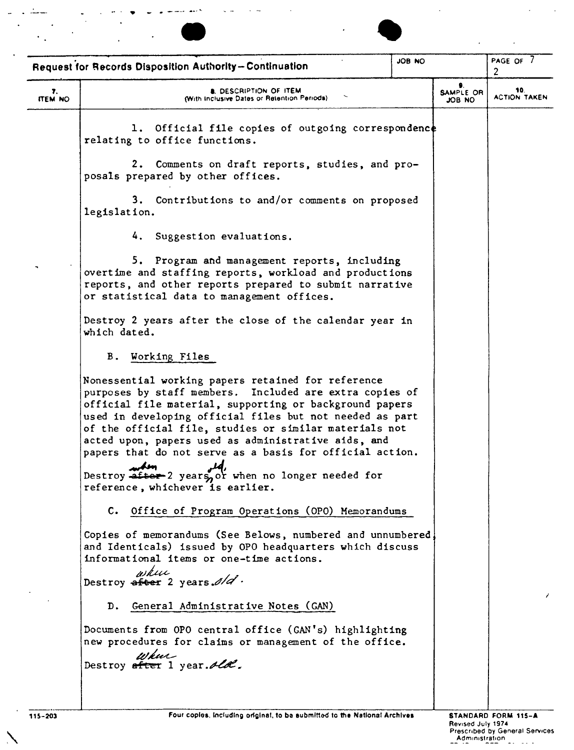



 $\ddot{\phantom{a}}$ 

|                      | Request for Records Disposition Authority-Continuation                                                                                                                                                                                                                                                                                                                                                                                                                                                                                                                                                                                                                                                                                                                                                                                                                                                                                                                                                                                                                                                                                                                                                                                                                                                                                                                                         | JOB NO |                     | PAGE OF 7<br>2             |
|----------------------|------------------------------------------------------------------------------------------------------------------------------------------------------------------------------------------------------------------------------------------------------------------------------------------------------------------------------------------------------------------------------------------------------------------------------------------------------------------------------------------------------------------------------------------------------------------------------------------------------------------------------------------------------------------------------------------------------------------------------------------------------------------------------------------------------------------------------------------------------------------------------------------------------------------------------------------------------------------------------------------------------------------------------------------------------------------------------------------------------------------------------------------------------------------------------------------------------------------------------------------------------------------------------------------------------------------------------------------------------------------------------------------------|--------|---------------------|----------------------------|
| 7.<br><b>ITEM NO</b> | <b>A. DESCRIPTION OF ITEM</b><br>(With Inclusive Dates or Retention Periods).                                                                                                                                                                                                                                                                                                                                                                                                                                                                                                                                                                                                                                                                                                                                                                                                                                                                                                                                                                                                                                                                                                                                                                                                                                                                                                                  |        | SAMPLE OR<br>ON 80L | 10.<br><b>ACTION TAKEN</b> |
|                      | 1. Official file copies of outgoing correspondence<br>relating to office functions.<br>2. Comments on draft reports, studies, and pro-<br>posals prepared by other offices.<br>3. Contributions to and/or comments on proposed<br>legislation.<br>4. Suggestion evaluations.<br>5. Program and management reports, including<br>overtime and staffing reports, workload and productions<br>reports, and other reports prepared to submit narrative<br>or statistical data to management offices.<br>Destroy 2 years after the close of the calendar year in<br>which dated.<br>B. Working Files<br>Nonessential working papers retained for reference<br>purposes by staff members. Included are extra copies of<br>official file material, supporting or background papers<br>used in developing official files but not needed as part<br>of the official file, studies or similar materials not<br>acted upon, papers used as administrative aids, and<br>papers that do not serve as a basis for official action.<br>makon<br>Destroy after 2 years or when no longer needed for<br>reference, whichever is earlier.<br>C. Office of Program Operations (OPO) Memorandums<br>Copies of memorandums (See Belows, numbered and unnumbered,<br>and Identicals) issued by OPO headquarters which discuss<br>informational items or one-time actions.<br>where<br>Destroy after 2 years. $d/d$ . |        |                     |                            |
|                      | D. General Administrative Notes (GAN)<br>Documents from OPO central office (GAN's) highlighting<br>new procedures for claims or management of the office.<br>where<br>Destroy efter 1 year. Ald.                                                                                                                                                                                                                                                                                                                                                                                                                                                                                                                                                                                                                                                                                                                                                                                                                                                                                                                                                                                                                                                                                                                                                                                               |        |                     |                            |
|                      |                                                                                                                                                                                                                                                                                                                                                                                                                                                                                                                                                                                                                                                                                                                                                                                                                                                                                                                                                                                                                                                                                                                                                                                                                                                                                                                                                                                                |        |                     |                            |

 $\Delta$ 

 $\ddot{\phantom{a}}$ 

 $\mathbb{R}^2$ 

 $\ddot{\phantom{a}}$ 

ReVised July 1974 Prescnbed by Geroeral Services Adrnrrustratron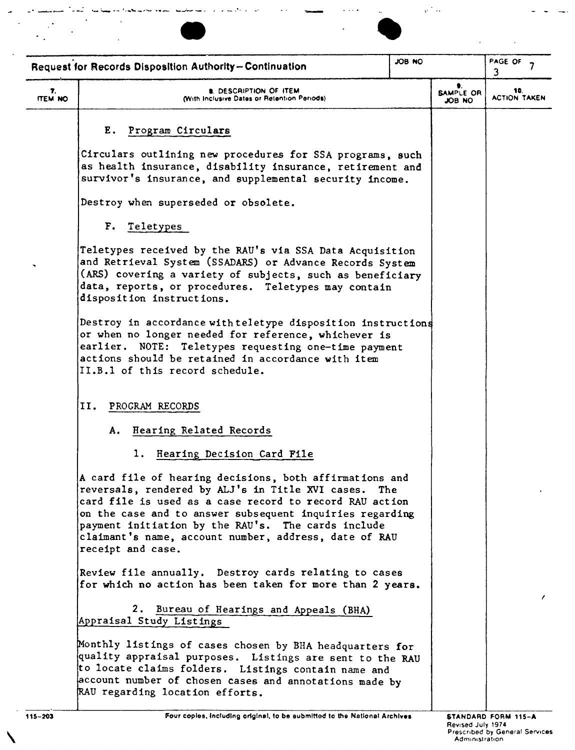



 $\overline{\phantom{a}}$ 

|                                                                         |                                                                                                                                                                                                                                                                                                                                                                            |  | e i sv                     |                            |
|-------------------------------------------------------------------------|----------------------------------------------------------------------------------------------------------------------------------------------------------------------------------------------------------------------------------------------------------------------------------------------------------------------------------------------------------------------------|--|----------------------------|----------------------------|
| JOB NO<br><b>Request for Records Disposition Authority-Continuation</b> |                                                                                                                                                                                                                                                                                                                                                                            |  | PAGE OF<br>3               |                            |
| 7.<br><b>ITEM NO</b>                                                    | <b>B. DESCRIPTION OF ITEM</b><br>(With Inclusive Dates or Retention Periods)                                                                                                                                                                                                                                                                                               |  | <b>SAMPLE OR</b><br>JOB NO | 10.<br><b>ACTION TAKEN</b> |
|                                                                         | E. Program Circulars                                                                                                                                                                                                                                                                                                                                                       |  |                            |                            |
|                                                                         | Circulars outlining new procedures for SSA programs, such<br>as health insurance, disability insurance, retirement and<br>survivor's insurance, and supplemental security income.                                                                                                                                                                                          |  |                            |                            |
|                                                                         | Destroy when superseded or obsolete.                                                                                                                                                                                                                                                                                                                                       |  |                            |                            |
|                                                                         | F. Teletypes                                                                                                                                                                                                                                                                                                                                                               |  |                            |                            |
|                                                                         | Teletypes received by the RAU's via SSA Data Acquisition<br>and Retrieval System (SSADARS) or Advance Records System<br>(ARS) covering a variety of subjects, such as beneficiary<br>data, reports, or procedures. Teletypes may contain<br>disposition instructions.                                                                                                      |  |                            |                            |
|                                                                         | Destroy in accordance with teletype disposition instructions<br>or when no longer needed for reference, whichever is<br>earlier. NOTE: Teletypes requesting one-time payment<br>actions should be retained in accordance with item<br>II.B.1 of this record schedule.                                                                                                      |  |                            |                            |
|                                                                         | 11.<br>PROGRAM RECORDS                                                                                                                                                                                                                                                                                                                                                     |  |                            |                            |
|                                                                         | A. Hearing Related Records                                                                                                                                                                                                                                                                                                                                                 |  |                            |                            |
|                                                                         | 1. Hearing Decision Card File                                                                                                                                                                                                                                                                                                                                              |  |                            |                            |
|                                                                         | A card file of hearing decisions, both affirmations and<br>reversals, rendered by ALJ's in Title XVI cases. The<br>card file is used as a case record to record RAU action<br>on the case and to answer subsequent inquiries regarding<br>payment initiation by the RAU's. The cards include<br>claimant's name, account number, address, date of RAU<br>receipt and case. |  |                            |                            |
|                                                                         | Review file annually. Destroy cards relating to cases<br>for which no action has been taken for more than 2 years.                                                                                                                                                                                                                                                         |  |                            |                            |
|                                                                         | 2. Bureau of Hearings and Appeals (BHA)<br>Appraisal Study Listings                                                                                                                                                                                                                                                                                                        |  |                            |                            |
|                                                                         | Monthly listings of cases chosen by BHA headquarters for<br>quality appraisal purposes. Listings are sent to the RAU<br>to locate claims folders. Listings contain name and<br>account number of chosen cases and annotations made by<br>RAU regarding location efforts.                                                                                                   |  |                            |                            |
|                                                                         |                                                                                                                                                                                                                                                                                                                                                                            |  |                            |                            |

 $\sqrt{2}$ 

 $\cdot$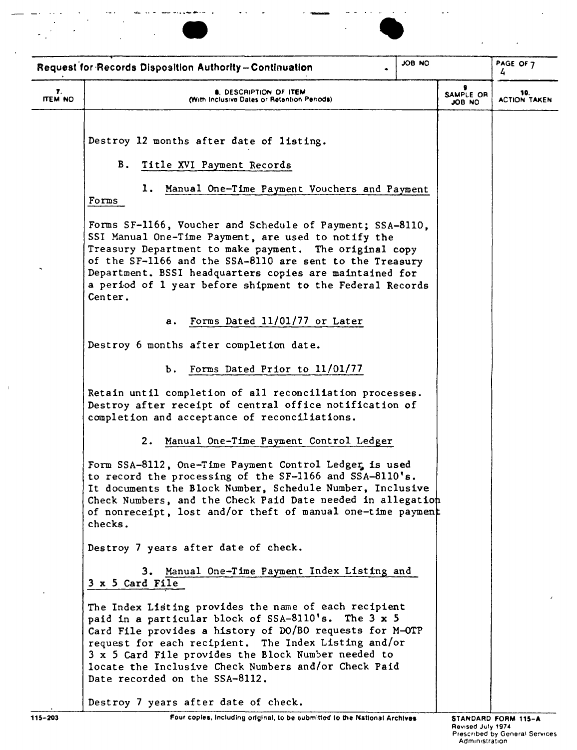



|               | Request for Records Disposition Authority-Continuation                                                                                                                                                                                                                                                                                                                            | <b>JOB NO</b> |                     | PAGE OF 7<br>4      |
|---------------|-----------------------------------------------------------------------------------------------------------------------------------------------------------------------------------------------------------------------------------------------------------------------------------------------------------------------------------------------------------------------------------|---------------|---------------------|---------------------|
| 7.<br>ITEM NO | <b>8. DESCRIPTION OF ITEM</b><br>(With Inclusive Dates or Retention Periods).                                                                                                                                                                                                                                                                                                     |               | SAMPLE OR<br>JOB NO | <b>ACTION TAKEN</b> |
|               | Destroy 12 months after date of listing.                                                                                                                                                                                                                                                                                                                                          |               |                     |                     |
|               | <b>B</b> .<br>Title XVI Payment Records                                                                                                                                                                                                                                                                                                                                           |               |                     |                     |
|               | Manual One-Time Payment Vouchers and Payment<br>1. .<br>Forms                                                                                                                                                                                                                                                                                                                     |               |                     |                     |
|               | Forms SF-1166, Voucher and Schedule of Payment; SSA-8110,<br>SSI Manual One-Time Payment, are used to notify the<br>Treasury Department to make payment. The original copy<br>of the SF-1166 and the SSA-8110 are sent to the Treasury<br>Department. BSSI headquarters copies are maintained for<br>a period of 1 year before shipment to the Federal Records<br>Center.         |               |                     |                     |
|               | Forms Dated 11/01/77 or Later<br>а.                                                                                                                                                                                                                                                                                                                                               |               |                     |                     |
|               | Destroy 6 months after completion date.                                                                                                                                                                                                                                                                                                                                           |               |                     |                     |
|               | b. Forms Dated Prior to 11/01/77                                                                                                                                                                                                                                                                                                                                                  |               |                     |                     |
|               | Retain until completion of all reconciliation processes.<br>Destroy after receipt of central office notification of<br>completion and acceptance of reconciliations.                                                                                                                                                                                                              |               |                     |                     |
|               | 2. Manual One-Time Payment Control Ledger                                                                                                                                                                                                                                                                                                                                         |               |                     |                     |
|               | Form SSA-8112, One-Time Payment Control Ledger is used<br>to record the processing of the SF-1166 and SSA-8110's.<br>It documents the Block Number, Schedule Number, Inclusive<br>Check Numbers, and the Check Paid Date needed in allegation<br>of nonreceipt, lost and/or theft of manual one-time payment<br>checks.                                                           |               |                     |                     |
|               | Destroy 7 years after date of check.                                                                                                                                                                                                                                                                                                                                              |               |                     |                     |
|               | 3. Manual One-Time Payment Index Listing and<br>3 x 5 Card File                                                                                                                                                                                                                                                                                                                   |               |                     |                     |
|               | The Index Listing provides the name of each recipient<br>paid in a particular block of SSA-8110's. The 3 x 5<br>Card File provides a history of DO/BO requests for M-OTP<br>request for each recipient. The Index Listing and/or<br>3 x 5 Card File provides the Block Number needed to<br>locate the Inclusive Check Numbers and/or Check Paid<br>Date recorded on the SSA-8112. |               |                     |                     |
|               | Destroy 7 years after date of check.                                                                                                                                                                                                                                                                                                                                              |               |                     |                     |
| 115-203       | Four copies, including original, to be submitted to the National Archives                                                                                                                                                                                                                                                                                                         |               |                     | STANDARD FORM 115-A |

 $\mathbf{u}$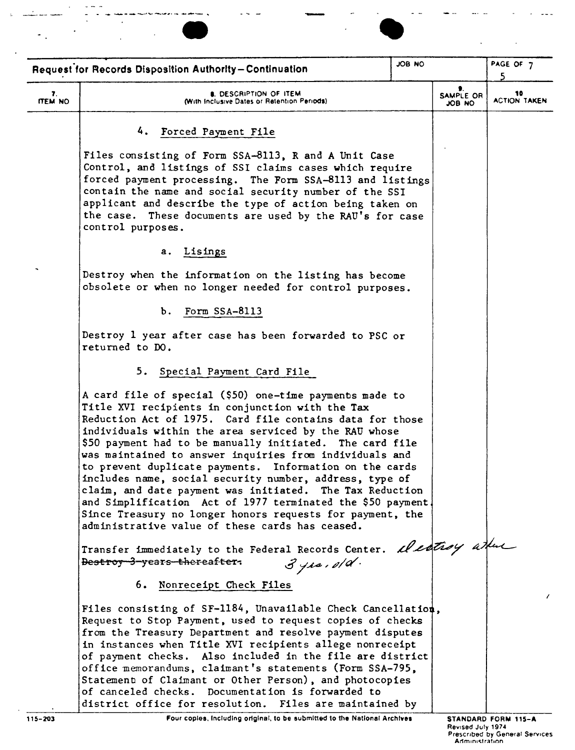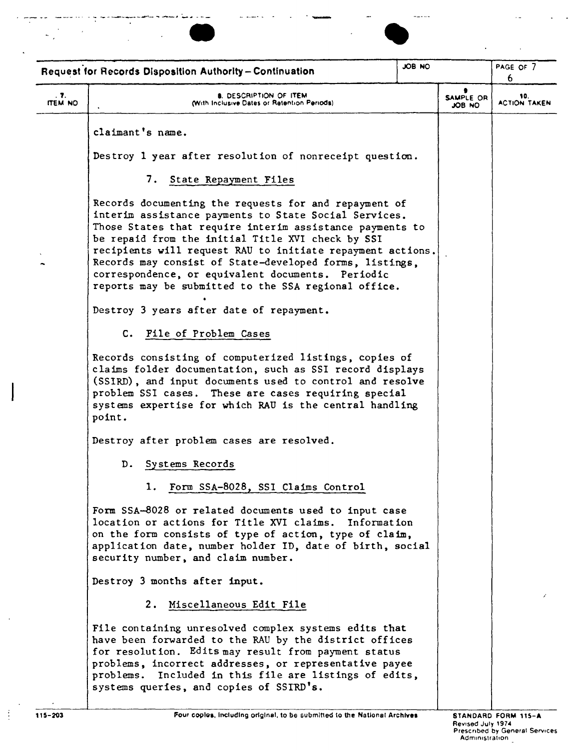



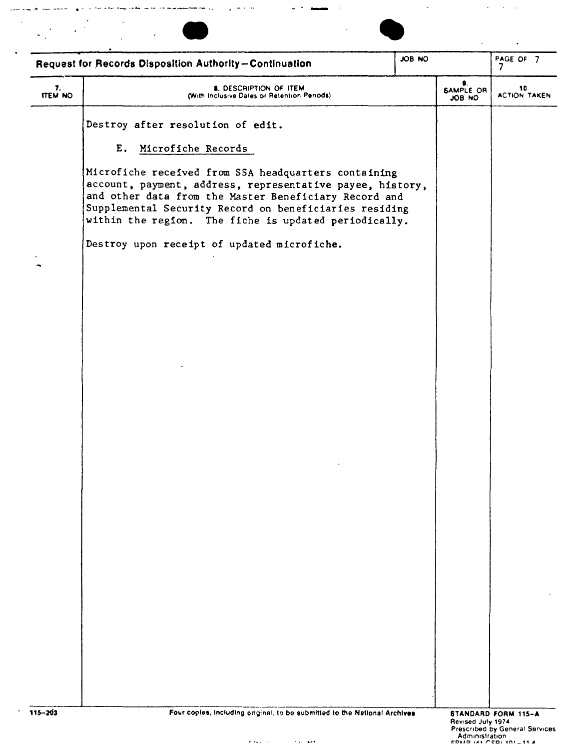| JOB NO<br>Request for Records Disposition Authority-Continuation |                                                                                                                                                                                                                                                                                               |  | PAGE OF 7<br>7      |                           |
|------------------------------------------------------------------|-----------------------------------------------------------------------------------------------------------------------------------------------------------------------------------------------------------------------------------------------------------------------------------------------|--|---------------------|---------------------------|
| 7.<br><b>ITEM NO</b>                                             | <b>8. DESCRIPTION OF ITEM</b><br>(With Inclusive Dates or Retention Periods).                                                                                                                                                                                                                 |  | SAMPLE OR<br>JOB NO | 10<br><b>ACTION TAKEN</b> |
|                                                                  | Destroy after resolution of edit.                                                                                                                                                                                                                                                             |  |                     |                           |
|                                                                  | E. Microfiche Records                                                                                                                                                                                                                                                                         |  |                     |                           |
|                                                                  | Microfiche received from SSA headquarters containing<br>account, payment, address, representative payee, history,<br>and other data from the Master Beneficiary Record and<br>Supplemental Security Record on beneficiaries residing<br>within the region. The fiche is updated periodically. |  |                     |                           |
|                                                                  | Destroy upon receipt of updated microfiche.                                                                                                                                                                                                                                                   |  |                     |                           |
|                                                                  |                                                                                                                                                                                                                                                                                               |  |                     |                           |
|                                                                  |                                                                                                                                                                                                                                                                                               |  |                     |                           |
|                                                                  |                                                                                                                                                                                                                                                                                               |  |                     |                           |
|                                                                  |                                                                                                                                                                                                                                                                                               |  |                     |                           |
|                                                                  |                                                                                                                                                                                                                                                                                               |  |                     |                           |
|                                                                  |                                                                                                                                                                                                                                                                                               |  |                     |                           |
|                                                                  |                                                                                                                                                                                                                                                                                               |  |                     |                           |
|                                                                  |                                                                                                                                                                                                                                                                                               |  |                     |                           |
|                                                                  |                                                                                                                                                                                                                                                                                               |  |                     |                           |
|                                                                  |                                                                                                                                                                                                                                                                                               |  |                     |                           |
|                                                                  |                                                                                                                                                                                                                                                                                               |  |                     |                           |
|                                                                  |                                                                                                                                                                                                                                                                                               |  |                     |                           |
|                                                                  |                                                                                                                                                                                                                                                                                               |  |                     |                           |
|                                                                  |                                                                                                                                                                                                                                                                                               |  |                     |                           |
|                                                                  |                                                                                                                                                                                                                                                                                               |  |                     |                           |
|                                                                  |                                                                                                                                                                                                                                                                                               |  |                     |                           |
|                                                                  |                                                                                                                                                                                                                                                                                               |  |                     |                           |
|                                                                  |                                                                                                                                                                                                                                                                                               |  |                     |                           |

-